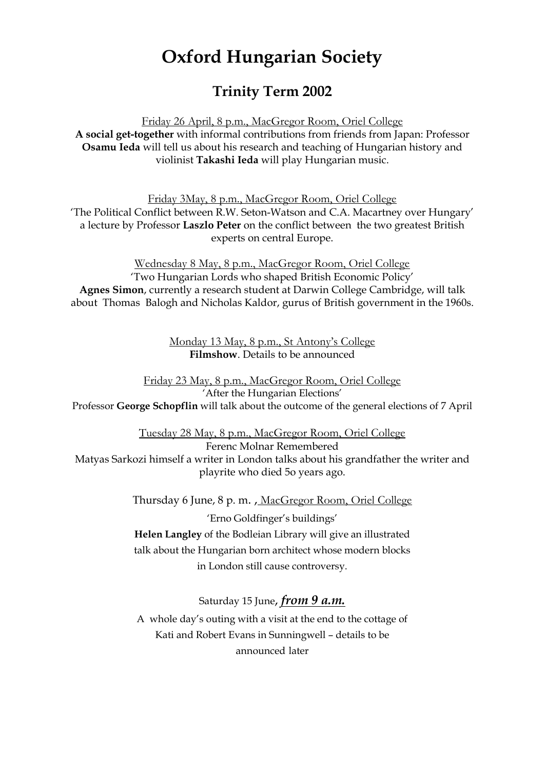## **Oxford Hungarian Society**

## **Trinity Term 2002**

Friday 26 April, 8 p.m., MacGregor Room, Oriel College **A social get-together** with informal contributions from friends from Japan: Professor **Osamu Ieda** will tell us about his research and teaching of Hungarian history and violinist **Takashi Ieda** will play Hungarian music.

Friday 3May, 8 p.m., MacGregor Room, Oriel College 'The Political Conflict between R.W. Seton-Watson and C.A. Macartney over Hungary' a lecture by Professor **Laszlo Peter** on the conflict between the two greatest British experts on central Europe.

Wednesday 8 May, 8 p.m., MacGregor Room, Oriel College 'Two Hungarian Lords who shaped British Economic Policy' **Agnes Simon**, currently a research student at Darwin College Cambridge, will talk about Thomas Balogh and Nicholas Kaldor, gurus of British government in the 1960s.

> Monday 13 May, 8 p.m., St Antony's College **Filmshow**. Details to be announced

Friday 23 May, 8 p.m., MacGregor Room, Oriel College 'After the Hungarian Elections' Professor **George Schopflin** will talk about the outcome of the general elections of 7 April

Tuesday 28 May, 8 p.m., MacGregor Room, Oriel College Ferenc Molnar Remembered Matyas Sarkozi himself a writer in London talks about his grandfather the writer and playrite who died 5o years ago.

> Thursday 6 June, 8 p. m. , MacGregor Room, Oriel College 'Erno Goldfinger's buildings' **Helen Langley** of the Bodleian Library will give an illustrated talk about the Hungarian born architect whose modern blocks in London still cause controversy.

> > Saturday 15 June, *from 9 a.m.*

A whole day's outing with a visit at the end to the cottage of Kati and Robert Evans in Sunningwell – details to be announced later